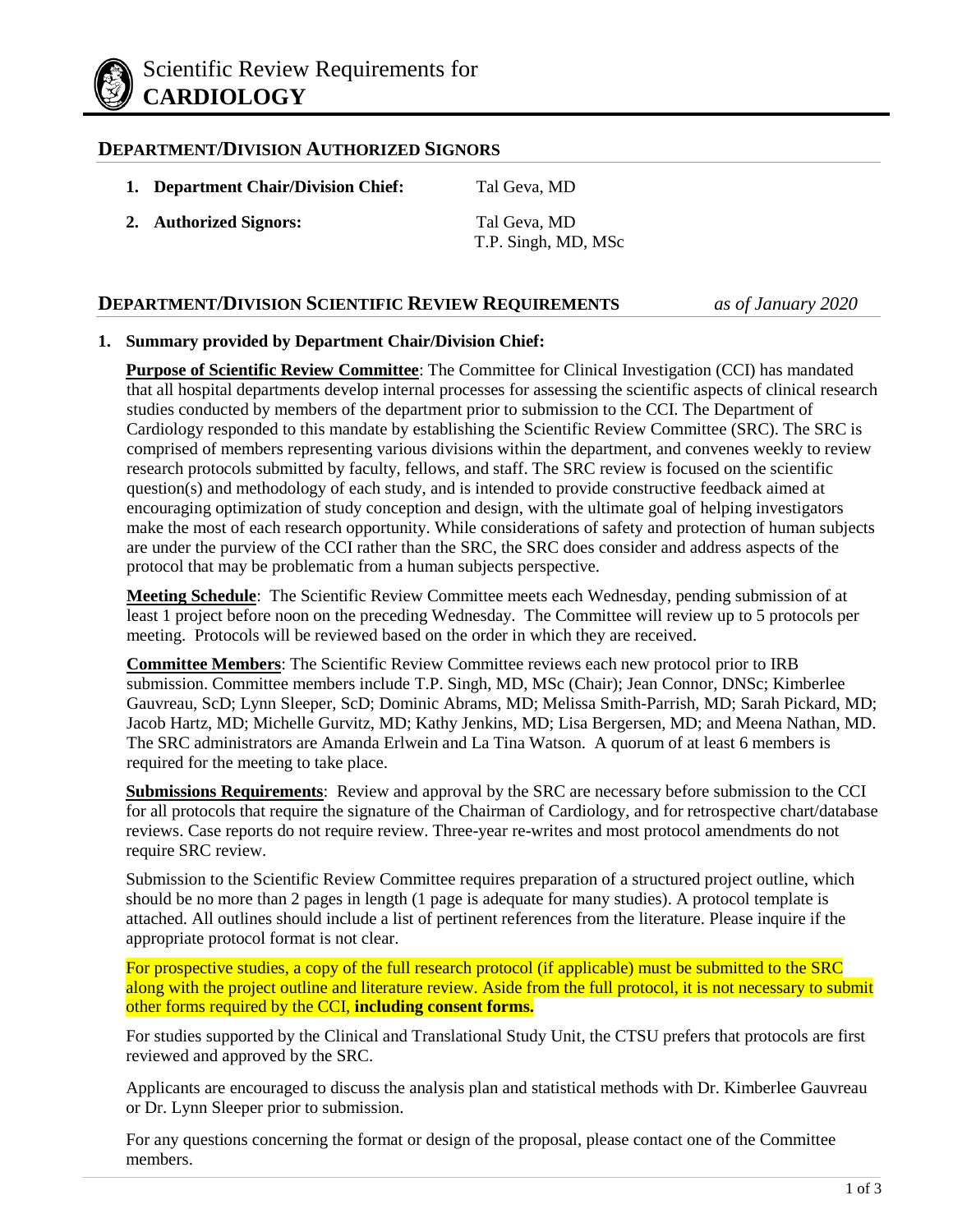

### **DEPARTMENT/DIVISION AUTHORIZED SIGNORS**

- **1. Department Chair/Division Chief:** Tal Geva, MD
- **2. Authorized Signors:** Tal Geva, MD

T.P. Singh, MD, MSc

## **DEPARTMENT/DIVISION SCIENTIFIC REVIEW REQUIREMENTS** *as of January 2020*

### **1. Summary provided by Department Chair/Division Chief:**

**Purpose of Scientific Review Committee**: The Committee for Clinical Investigation (CCI) has mandated that all hospital departments develop internal processes for assessing the scientific aspects of clinical research studies conducted by members of the department prior to submission to the CCI. The Department of Cardiology responded to this mandate by establishing the Scientific Review Committee (SRC). The SRC is comprised of members representing various divisions within the department, and convenes weekly to review research protocols submitted by faculty, fellows, and staff. The SRC review is focused on the scientific question(s) and methodology of each study, and is intended to provide constructive feedback aimed at encouraging optimization of study conception and design, with the ultimate goal of helping investigators make the most of each research opportunity. While considerations of safety and protection of human subjects are under the purview of the CCI rather than the SRC, the SRC does consider and address aspects of the protocol that may be problematic from a human subjects perspective.

**Meeting Schedule**: The Scientific Review Committee meets each Wednesday, pending submission of at least 1 project before noon on the preceding Wednesday. The Committee will review up to 5 protocols per meeting. Protocols will be reviewed based on the order in which they are received.

**Committee Members**: The Scientific Review Committee reviews each new protocol prior to IRB submission. Committee members include T.P. Singh, MD, MSc (Chair); Jean Connor, DNSc; Kimberlee Gauvreau, ScD; Lynn Sleeper, ScD; Dominic Abrams, MD; Melissa Smith-Parrish, MD; Sarah Pickard, MD; Jacob Hartz, MD; Michelle Gurvitz, MD; Kathy Jenkins, MD; Lisa Bergersen, MD; and Meena Nathan, MD. The SRC administrators are Amanda Erlwein and La Tina Watson. A quorum of at least 6 members is required for the meeting to take place.

**Submissions Requirements**: Review and approval by the SRC are necessary before submission to the CCI for all protocols that require the signature of the Chairman of Cardiology, and for retrospective chart/database reviews. Case reports do not require review. Three-year re-writes and most protocol amendments do not require SRC review.

Submission to the Scientific Review Committee requires preparation of a structured project outline, which should be no more than 2 pages in length (1 page is adequate for many studies). A protocol template is attached. All outlines should include a list of pertinent references from the literature. Please inquire if the appropriate protocol format is not clear.

For prospective studies, a copy of the full research protocol (if applicable) must be submitted to the SRC along with the project outline and literature review. Aside from the full protocol, it is not necessary to submit other forms required by the CCI, **including consent forms.**

For studies supported by the Clinical and Translational Study Unit, the CTSU prefers that protocols are first reviewed and approved by the SRC.

Applicants are encouraged to discuss the analysis plan and statistical methods with Dr. Kimberlee Gauvreau or Dr. Lynn Sleeper prior to submission.

For any questions concerning the format or design of the proposal, please contact one of the Committee members.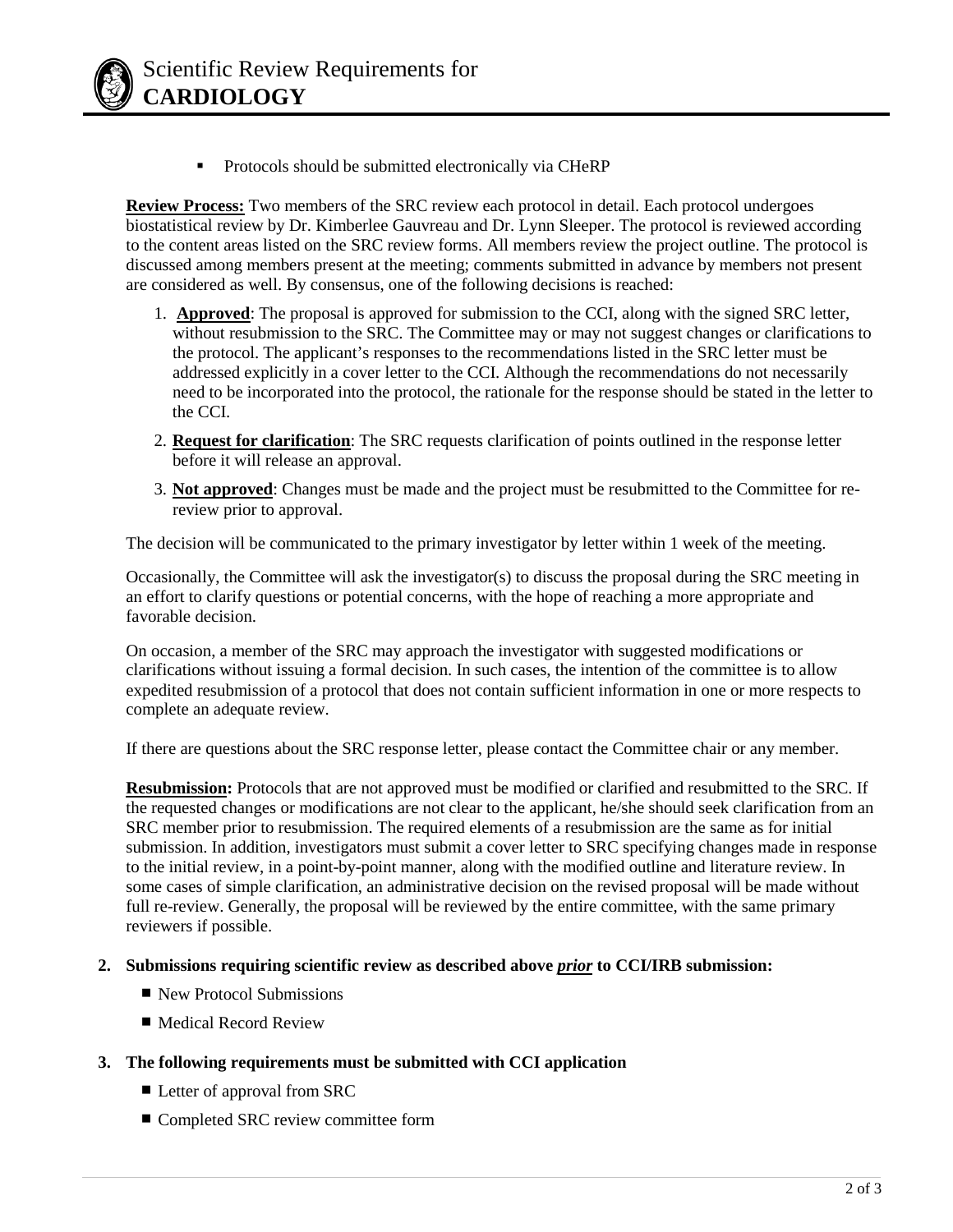

**Protocols should be submitted electronically via CHeRP** 

**Review Process:** Two members of the SRC review each protocol in detail. Each protocol undergoes biostatistical review by Dr. Kimberlee Gauvreau and Dr. Lynn Sleeper. The protocol is reviewed according to the content areas listed on the SRC review forms. All members review the project outline. The protocol is discussed among members present at the meeting; comments submitted in advance by members not present are considered as well. By consensus, one of the following decisions is reached:

- 1. **Approved**: The proposal is approved for submission to the CCI, along with the signed SRC letter, without resubmission to the SRC. The Committee may or may not suggest changes or clarifications to the protocol. The applicant's responses to the recommendations listed in the SRC letter must be addressed explicitly in a cover letter to the CCI. Although the recommendations do not necessarily need to be incorporated into the protocol, the rationale for the response should be stated in the letter to the CCI.
- 2. **Request for clarification**: The SRC requests clarification of points outlined in the response letter before it will release an approval.
- 3. **Not approved**: Changes must be made and the project must be resubmitted to the Committee for rereview prior to approval.

The decision will be communicated to the primary investigator by letter within 1 week of the meeting.

Occasionally, the Committee will ask the investigator(s) to discuss the proposal during the SRC meeting in an effort to clarify questions or potential concerns, with the hope of reaching a more appropriate and favorable decision.

On occasion, a member of the SRC may approach the investigator with suggested modifications or clarifications without issuing a formal decision. In such cases, the intention of the committee is to allow expedited resubmission of a protocol that does not contain sufficient information in one or more respects to complete an adequate review.

If there are questions about the SRC response letter, please contact the Committee chair or any member.

**Resubmission:** Protocols that are not approved must be modified or clarified and resubmitted to the SRC. If the requested changes or modifications are not clear to the applicant, he/she should seek clarification from an SRC member prior to resubmission. The required elements of a resubmission are the same as for initial submission. In addition, investigators must submit a cover letter to SRC specifying changes made in response to the initial review, in a point-by-point manner, along with the modified outline and literature review. In some cases of simple clarification, an administrative decision on the revised proposal will be made without full re-review. Generally, the proposal will be reviewed by the entire committee, with the same primary reviewers if possible.

#### **2. Submissions requiring scientific review as described above** *prior* **to CCI/IRB submission:**

- New Protocol Submissions
- Medical Record Review
- **3. The following requirements must be submitted with CCI application**
	- Letter of approval from SRC
	- Completed SRC review committee form